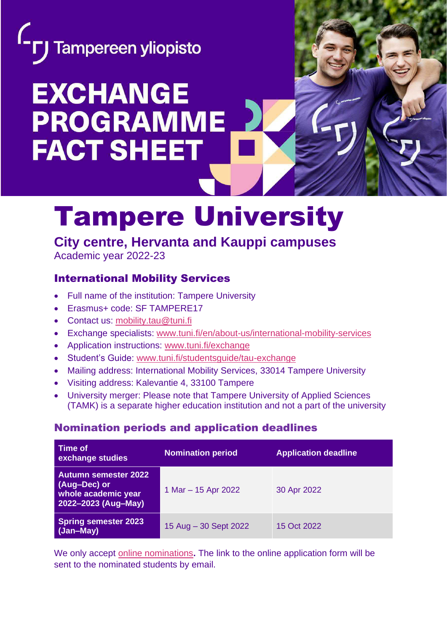

# **EXCHANGE PROGRAMME FACT SHEET**

## Tampere University

### **City centre, Hervanta and Kauppi campuses**

Academic year 2022-23

#### International Mobility Services

- Full name of the institution: Tampere University
- Erasmus+ code: SF TAMPERE17
- Contact us: [mobility.tau@tuni.fi](mailto:mobility.tau@tuni.fi)
- Exchange specialists: [www.tuni.fi/en/about-us/international-mobility-services](http://www.tuni.fi/en/about-us/international-mobility-services)
- Application instructions: [www.tuni.fi/exchange](http://www.tuni.fi/exchange)
- Student's Guide: [www.tuni.fi/studentsguide/tau-exchange](http://www.tuni.fi/studentsguide/tau-exchange)
- Mailing address: International Mobility Services, 33014 Tampere University
- Visiting address: Kalevantie 4, 33100 Tampere
- University merger: Please note that Tampere University of Applied Sciences (TAMK) is a separate higher education institution and not a part of the university

#### Nomination periods and application deadlines

| <b>Time of</b><br>exchange studies                                                 | <b>Nomination period</b> | <b>Application deadline</b> |
|------------------------------------------------------------------------------------|--------------------------|-----------------------------|
| Autumn semester 2022<br>(Aug-Dec) or<br>whole academic year<br>2022-2023 (Aug-May) | 1 Mar $-$ 15 Apr 2022    | 30 Apr 2022                 |
| <b>Spring semester 2023</b><br>(Jan-May)                                           | 15 Aug - 30 Sept 2022    | 15 Oct 2022                 |

We only accept [online nominations](https://www.tuni.fi/en/study-with-us/exchange-studies/how-apply-for-exchange-studies-at-tampere-university#expander-trigger--efff751d-826c-4e34-976b-7bd601c44741)**.** The link to the online application form will be sent to the nominated students by email.